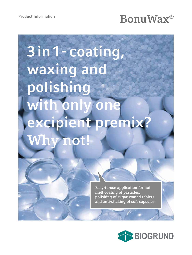## Product Information<br> **BonuWax**<sup>®</sup>

# **3 in 1 - coating, waxing and polishing**  with only one **excipient premix? Why not!**

**Easy-to-use application for hot melt coating of particles, polishing of sugar-coated tablets and anti-sticking of soft capsules.**

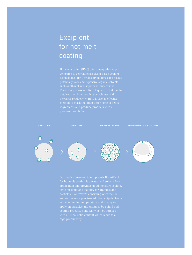### Excipient for hot melt coating

Hot melt coating (HMC) offers many advantages



application and provides good moisture sealing, apply on particles and granules by a fluid bed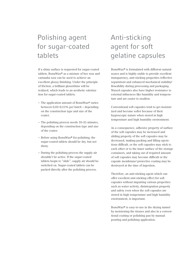### Polishing agent for sugar-coated tablets

If a shiny surface is requested for sugar-coated tablets, BonuWax® as a mixture of bee wax and carnauba wax can be used to achieve an excellent glossy finishing. Under the principle of friction, a brilliant gloss/shine will be realized, which leads to an aesthetic valorization for sugar-coated tablets.

- The application amount of BonuWax® varies between 0,03–0,15% per batch – depending on the construction type and size of the coater.
- The polishing process needs 10–25 minutes, depending on the construction type and size of the coater.
- Before using BonuWax® for polishing, the sugar-coated tablets should be dry, but not dusty.
- During the polishing process the supply air shouldn't be active. If the sugar-coated tablets begin to "slide", supply air should be switched on. Sugar-coated tablets can be packed directly after the polishing process.

### Anti-sticking agent for soft gelatine capsules

BonuWax® is formulated with different natural waxes and is highly stable to provide excellent transparency, anti-sticking properties (effective separation) and enhanced mechanical stability/ flowability during processing and packaging. Waxed capsules also have higher resistance to external influences like humidity and temperature and are easier to swallow.

Conventional soft capsules tend to get moisturized and become softer because of their hygroscopic nature when stored in high temperature and high humidity environment.

As a consequence, adhesive property of surface of the soft capsules may be increased and sliding property of the soft capsules may be decreased, making packing and filling operations difficult, or the soft capsules may stick to each other or to the inner surface of the storage containers, and taking out of required amount of soft capsules may become difficult or the capsule membrane/ protective coating may be destroyed at the time of ingestion.

Therefore, an anti-sticking agent which can offer excellent anti-sticking effect for soft capsules without impairing various properties such as water activity, disintegration property and safety even when the soft capsules are stored in high temperature and high humidity environment, is important.

BonuWax® is easy-to-use in the drying tunnel by moistening the tissues and also in a conventional coating or polishing pan by manual pouring and polishing application.